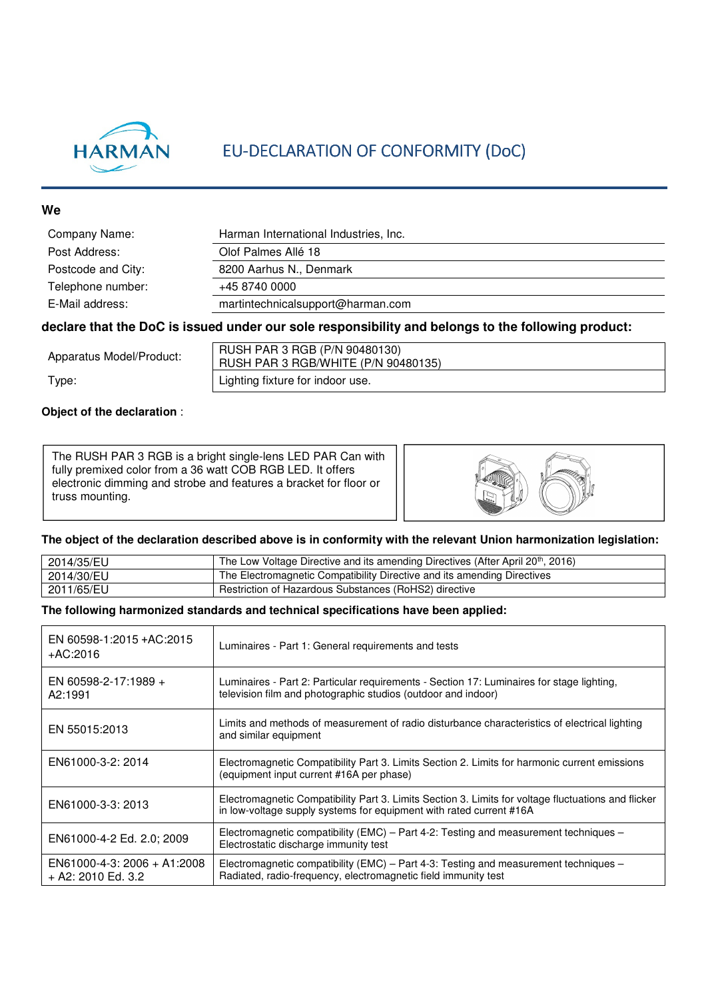

## EU-DECLARATION OF CONFORMITY (DoC)

#### **We**

| Company Name:      | Harman International Industries, Inc. |
|--------------------|---------------------------------------|
| Post Address:      | Olof Palmes Allé 18                   |
| Postcode and City: | 8200 Aarhus N., Denmark               |
| Telephone number:  | +45 8740 0000                         |
| E-Mail address:    | martintechnicalsupport@harman.com     |

#### **declare that the DoC is issued under our sole responsibility and belongs to the following product:**

| Apparatus Model/Product: | RUSH PAR 3 RGB (P/N 90480130)<br>RUSH PAR 3 RGB/WHITE (P/N 90480135) |
|--------------------------|----------------------------------------------------------------------|
| Type:                    | Lighting fixture for indoor use.                                     |

#### **Object of the declaration** :

The RUSH PAR 3 RGB is a bright single-lens LED PAR Can with fully premixed color from a 36 watt COB RGB LED. It offers electronic dimming and strobe and features a bracket for floor or truss mounting.



#### **The object of the declaration described above is in conformity with the relevant Union harmonization legislation:**

| 2014/35/EU | The Low Voltage Directive and its amending Directives (After April 20 <sup>th</sup> , 2016) |
|------------|---------------------------------------------------------------------------------------------|
| 2014/30/EU | The Electromagnetic Compatibility Directive and its amending Directives                     |
| 2011/65/EU | Restriction of Hazardous Substances (RoHS2) directive                                       |

#### **The following harmonized standards and technical specifications have been applied:**

| EN 60598-1:2015 + AC:2015<br>$+AC:2016$               | Luminaires - Part 1: General requirements and tests                                                                                                                        |
|-------------------------------------------------------|----------------------------------------------------------------------------------------------------------------------------------------------------------------------------|
| EN 60598-2-17:1989 +<br>A2:1991                       | Luminaires - Part 2: Particular requirements - Section 17: Luminaires for stage lighting,<br>television film and photographic studios (outdoor and indoor)                 |
| EN 55015:2013                                         | Limits and methods of measurement of radio disturbance characteristics of electrical lighting<br>and similar equipment                                                     |
| EN61000-3-2: 2014                                     | Electromagnetic Compatibility Part 3. Limits Section 2. Limits for harmonic current emissions<br>(equipment input current #16A per phase)                                  |
| EN61000-3-3: 2013                                     | Electromagnetic Compatibility Part 3. Limits Section 3. Limits for voltage fluctuations and flicker<br>in low-voltage supply systems for equipment with rated current #16A |
| EN61000-4-2 Ed. 2.0; 2009                             | Electromagnetic compatibility (EMC) – Part 4-2: Testing and measurement techniques –<br>Electrostatic discharge immunity test                                              |
| $EN61000-4-3: 2006 + A1:2008$<br>$+$ A2: 2010 Ed. 3.2 | Electromagnetic compatibility (EMC) – Part 4-3: Testing and measurement techniques –<br>Radiated, radio-frequency, electromagnetic field immunity test                     |